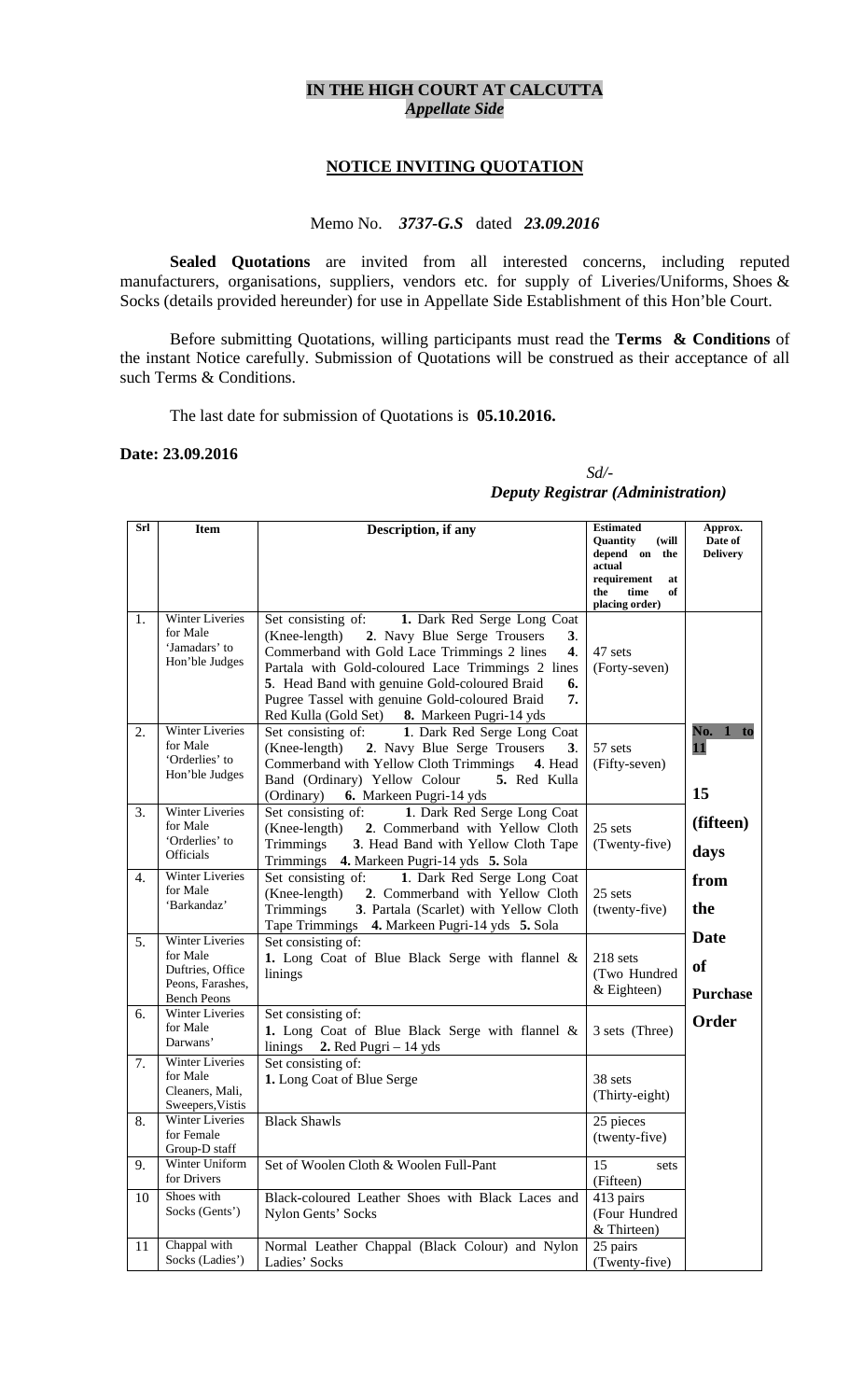# **IN THE HIGH COURT AT CALCUTTA**  *Appellate Side*

#### **NOTICE INVITING QUOTATION**

#### Memo No. *3737-G.S* dated *23.09.2016*

**Sealed Quotations** are invited from all interested concerns, including reputed manufacturers, organisations, suppliers, vendors etc. for supply of Liveries/Uniforms, Shoes & Socks (details provided hereunder) for use in Appellate Side Establishment of this Hon'ble Court.

Before submitting Quotations, willing participants must read the **Terms & Conditions** of the instant Notice carefully. Submission of Quotations will be construed as their acceptance of all such Terms & Conditions.

The last date for submission of Quotations is **05.10.2016.** 

#### **Date: 23.09.2016**

#### *Sd/- Deputy Registrar (Administration)*

| Srl | <b>Item</b>                            | Description, if any                                   | <b>Estimated</b>                    | Approx.                    |
|-----|----------------------------------------|-------------------------------------------------------|-------------------------------------|----------------------------|
|     |                                        |                                                       | Quantity<br>(will<br>depend on the  | Date of<br><b>Delivery</b> |
|     |                                        |                                                       | actual                              |                            |
|     |                                        |                                                       | requirement<br>at                   |                            |
|     |                                        |                                                       | the<br>time<br>of<br>placing order) |                            |
| 1.  | Winter Liveries                        | Set consisting of: <b>1.</b> Dark Red Serge Long Coat |                                     |                            |
|     | for Male                               | (Knee-length)<br>2. Navy Blue Serge Trousers<br>3.    |                                     |                            |
|     | 'Jamadars' to                          | Commerband with Gold Lace Trimmings 2 lines<br>4.     | 47 sets                             |                            |
|     | Hon'ble Judges                         | Partala with Gold-coloured Lace Trimmings 2 lines     | (Forty-seven)                       |                            |
|     |                                        | 5. Head Band with genuine Gold-coloured Braid<br>6.   |                                     |                            |
|     |                                        | Pugree Tassel with genuine Gold-coloured Braid<br>7.  |                                     |                            |
|     |                                        | Red Kulla (Gold Set) 8. Markeen Pugri-14 yds          |                                     |                            |
| 2.  | Winter Liveries                        | Set consisting of:<br>1. Dark Red Serge Long Coat     |                                     | No. 1 to                   |
|     | for Male                               | (Knee-length) 2. Navy Blue Serge Trousers<br>3.       | 57 sets                             | 11                         |
|     | 'Orderlies' to                         | Commerband with Yellow Cloth Trimmings<br>4. Head     | (Fifty-seven)                       |                            |
|     | Hon'ble Judges                         | Band (Ordinary) Yellow Colour<br>5. Red Kulla         |                                     |                            |
|     |                                        | (Ordinary)<br>6. Markeen Pugri-14 yds                 |                                     | 15                         |
| 3.  | Winter Liveries                        | Set consisting of:<br>1. Dark Red Serge Long Coat     |                                     |                            |
|     | for Male                               | (Knee-length)<br>2. Commerband with Yellow Cloth      | 25 sets                             | (fifteen)                  |
|     | 'Orderlies' to                         | Trimmings<br>3. Head Band with Yellow Cloth Tape      | (Twenty-five)                       |                            |
|     | Officials                              | Trimmings 4. Markeen Pugri-14 yds 5. Sola             |                                     | days                       |
| 4.  | <b>Winter Liveries</b>                 | Set consisting of: 1. Dark Red Serge Long Coat        |                                     | from                       |
|     | for Male                               | (Knee-length)<br>2. Commerband with Yellow Cloth      | 25 sets                             |                            |
|     | 'Barkandaz'                            | Trimmings<br>3. Partala (Scarlet) with Yellow Cloth   | (twenty-five)                       | the                        |
|     |                                        | Tape Trimmings 4. Markeen Pugri-14 yds 5. Sola        |                                     |                            |
| 5.  | Winter Liveries                        | Set consisting of:                                    |                                     | <b>Date</b>                |
|     | for Male                               | 1. Long Coat of Blue Black Serge with flannel &       | 218 sets                            | <b>of</b>                  |
|     | Duftries, Office                       | linings                                               | (Two Hundred                        |                            |
|     | Peons, Farashes,<br><b>Bench Peons</b> |                                                       | $&$ Eighteen)                       | <b>Purchase</b>            |
| 6.  | <b>Winter Liveries</b>                 | Set consisting of:                                    |                                     |                            |
|     | for Male                               | 1. Long Coat of Blue Black Serge with flannel &       | 3 sets (Three)                      | Order                      |
|     | Darwans'                               | linings $2$ . Red Pugri – 14 yds                      |                                     |                            |
| 7.  | <b>Winter Liveries</b>                 | Set consisting of:                                    |                                     |                            |
|     | for Male                               | 1. Long Coat of Blue Serge                            | 38 sets                             |                            |
|     | Cleaners, Mali,                        |                                                       | (Thirty-eight)                      |                            |
|     | Sweepers, Vistis                       |                                                       |                                     |                            |
| 8.  | <b>Winter Liveries</b>                 | <b>Black Shawls</b>                                   | 25 pieces                           |                            |
|     | for Female<br>Group-D staff            |                                                       | (twenty-five)                       |                            |
| 9.  | Winter Uniform                         | Set of Woolen Cloth & Woolen Full-Pant                | 15<br>sets                          |                            |
|     | for Drivers                            |                                                       | (Fifteen)                           |                            |
| 10  | Shoes with                             | Black-coloured Leather Shoes with Black Laces and     | 413 pairs                           |                            |
|     | Socks (Gents')                         | Nylon Gents' Socks                                    | (Four Hundred                       |                            |
|     |                                        |                                                       | & Thirteen)                         |                            |
| 11  | Chappal with                           | Normal Leather Chappal (Black Colour) and Nylon       | 25 pairs                            |                            |
|     | Socks (Ladies')                        | Ladies' Socks                                         | (Twenty-five)                       |                            |